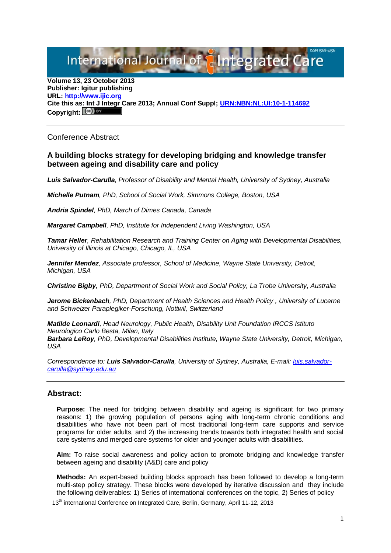International Journal of **Alntegrated** 

**Volume 13, 23 October 2013 Publisher: Igitur publishing URL[: http://www.ijic.org](http://www.ijic.org/) Cite this as: Int J Integr Care 2013; Annual Conf Suppl; [URN:NBN:NL:UI:10-1-114692](http://persistent-identifier.nl/?identifier=URN:NBN:NL:UI:10-1-114692)** Copyright:  $(cc)$  **E**Y

Conference Abstract

## **A building blocks strategy for developing bridging and knowledge transfer between ageing and disability care and policy**

*Luis Salvador-Carulla, Professor of Disability and Mental Health, University of Sydney, Australia*

*Michelle Putnam, PhD, School of Social Work, Simmons College, Boston, USA*

*Andria Spindel, PhD, March of Dimes Canada, Canada*

*Margaret Campbell, PhD, Institute for Independent Living Washington, USA*

*Tamar Heller, Rehabilitation Research and Training Center on Aging with Developmental Disabilities, University of Illinois at Chicago, Chicago, IL, USA*

*Jennifer Mendez, Associate professor, School of Medicine, Wayne State University, Detroit, Michigan, USA*

*Christine Bigby, PhD, Department of Social Work and Social Policy, La Trobe University, Australia*

*Jerome Bickenbach, PhD, Department of Health Sciences and Health Policy , University of Lucerne and Schweizer Paraplegiker-Forschung, Nottwil, Switzerland*

*Matilde Leonardi, Head Neurology, Public Health, Disability Unit Foundation IRCCS Istituto Neurologico Carlo Besta, Milan, Italy Barbara LeRoy, PhD, Developmental Disabilities Institute, Wayne State University, Detroit, Michigan, USA*

*Correspondence to: Luis Salvador-Carulla, University of Sydney, Australia, E-mail: [luis.salvador](mailto:luis.salvador-carulla@sydney.edu.au)[carulla@sydney.edu.au](mailto:luis.salvador-carulla@sydney.edu.au)*

## **Abstract:**

**Purpose:** The need for bridging between disability and ageing is significant for two primary reasons: 1) the growing population of persons aging with long-term chronic conditions and disabilities who have not been part of most traditional long-term care supports and service programs for older adults, and 2) the increasing trends towards both integrated health and social care systems and merged care systems for older and younger adults with disabilities.

**Aim:** To raise social awareness and policy action to promote bridging and knowledge transfer between ageing and disability (A&D) care and policy

**Methods:** An expert-based building blocks approach has been followed to develop a long-term multi-step policy strategy. These blocks were developed by iterative discussion and they include the following deliverables: 1) Series of international conferences on the topic, 2) Series of policy

13<sup>th</sup> international Conference on Integrated Care, Berlin, Germany, April 11-12, 2013